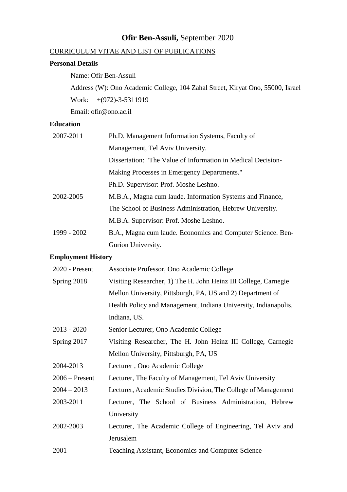# **Ofir Ben-Assuli,** September 2020

# CURRICULUM VITAE AND LIST OF PUBLICATIONS

## **Personal Details**

Name: Ofir Ben-Assuli

Address (W): Ono Academic College, 104 Zahal Street, Kiryat Ono, 55000, Israel Work: +(972)-3-5311919

Email: [ofir@ono.ac.il](mailto:ofir@ono.ac.il)

### **Education**

| 2007-2011   | Ph.D. Management Information Systems, Faculty of             |
|-------------|--------------------------------------------------------------|
|             | Management, Tel Aviv University.                             |
|             | Dissertation: "The Value of Information in Medical Decision- |
|             | Making Processes in Emergency Departments."                  |
|             | Ph.D. Supervisor: Prof. Moshe Leshno.                        |
| 2002-2005   | M.B.A., Magna cum laude. Information Systems and Finance,    |
|             | The School of Business Administration, Hebrew University.    |
|             | M.B.A. Supervisor: Prof. Moshe Leshno.                       |
| 1999 - 2002 | B.A., Magna cum laude. Economics and Computer Science. Ben-  |
|             | Gurion University.                                           |

# **Employment History**

| Associate Professor, Ono Academic College                       |
|-----------------------------------------------------------------|
| Visiting Researcher, 1) The H. John Heinz III College, Carnegie |
| Mellon University, Pittsburgh, PA, US and 2) Department of      |
| Health Policy and Management, Indiana University, Indianapolis, |
| Indiana, US.                                                    |
| Senior Lecturer, Ono Academic College                           |
| Visiting Researcher, The H. John Heinz III College, Carnegie    |
| Mellon University, Pittsburgh, PA, US                           |
| Lecturer, Ono Academic College                                  |
| Lecturer, The Faculty of Management, Tel Aviv University        |
| Lecturer, Academic Studies Division, The College of Management  |
| Lecturer, The School of Business Administration, Hebrew         |
| University                                                      |
| Lecturer, The Academic College of Engineering, Tel Aviv and     |
| Jerusalem                                                       |
| Teaching Assistant, Economics and Computer Science              |
|                                                                 |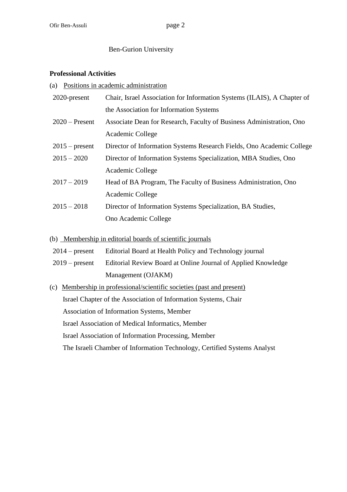# Ben-Gurion University

### **Professional Activities**

(a) Positions in academic administration

| 2020-present                                      | Chair, Israel Association for Information Systems (ILAIS), A Chapter of |
|---------------------------------------------------|-------------------------------------------------------------------------|
|                                                   | the Association for Information Systems                                 |
| $2020$ – Present                                  | Associate Dean for Research, Faculty of Business Administration, Ono    |
|                                                   | Academic College                                                        |
| $2015$ – present                                  | Director of Information Systems Research Fields, Ono Academic College   |
| $2015 - 2020$                                     | Director of Information Systems Specialization, MBA Studies, Ono        |
|                                                   | Academic College                                                        |
| $2017 - 2019$                                     | Head of BA Program, The Faculty of Business Administration, Ono         |
|                                                   | Academic College                                                        |
| $2015 - 2018$                                     | Director of Information Systems Specialization, BA Studies,             |
|                                                   | Ono Academic College                                                    |
|                                                   | (b) Membership in editorial boards of scientific journals               |
| $2014$ – present                                  | Editorial Board at Health Policy and Technology journal                 |
| $2019$ – present                                  | Editorial Review Board at Online Journal of Applied Knowledge           |
|                                                   | Management (OJAKM)                                                      |
| (c)                                               | Membership in professional/scientific societies (past and present)      |
|                                                   | Israel Chapter of the Association of Information Systems, Chair         |
|                                                   | Association of Information Systems, Member                              |
| Israel Association of Medical Informatics, Member |                                                                         |
|                                                   | <b>Israel Association of Information Processing, Member</b>             |

The Israeli Chamber of Information Technology, Certified Systems Analyst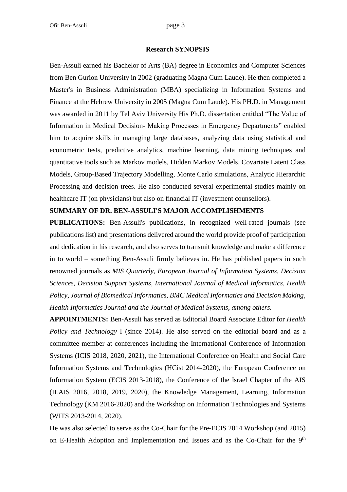#### **Research SYNOPSIS**

Ben-Assuli earned his Bachelor of Arts (BA) degree in Economics and Computer Sciences from Ben Gurion University in 2002 (graduating Magna Cum Laude). He then completed a Master's in Business Administration (MBA) specializing in Information Systems and Finance at the Hebrew University in 2005 (Magna Cum Laude). His PH.D. in Management was awarded in 2011 by Tel Aviv University His Ph.D. dissertation entitled "The Value of Information in Medical Decision- Making Processes in Emergency Departments" enabled him to acquire skills in managing large databases, analyzing data using statistical and econometric tests, predictive analytics, machine learning, data mining techniques and quantitative tools such as Markov models, Hidden Markov Models, Covariate Latent Class Models, Group-Based Trajectory Modelling, Monte Carlo simulations, Analytic Hierarchic Processing and decision trees. He also conducted several experimental studies mainly on healthcare IT (on physicians) but also on financial IT (investment counsellors).

#### **SUMMARY OF DR. BEN-ASSULI'S MAJOR ACCOMPLISHMENTS**

**PUBLICATIONS:** Ben-Assuli's publications, in recognized well-rated journals (see publications list) and presentations delivered around the world provide proof of participation and dedication in his research, and also serves to transmit knowledge and make a difference in to world – something Ben-Assuli firmly believes in. He has published papers in such renowned journals as *MIS Quarterly*, *European Journal of Information Systems*, *Decision Sciences, Decision Support Systems, International Journal of Medical Informatics, Health Policy, Journal of Biomedical Informatics, BMC Medical Informatics and Decision Making, Health Informatics Journal and the Journal of Medical Systems, among others.*

**APPOINTMENTS:** Ben-Assuli has served as Editorial Board Associate Editor for *Health Policy and Technology* 1 (since 2014). He also served on the editorial board and as a committee member at conferences including the International Conference of Information Systems (ICIS 2018, 2020, 2021), the International Conference on Health and Social Care Information Systems and Technologies (HCist 2014-2020), the European Conference on Information System (ECIS 2013-2018), the Conference of the Israel Chapter of the AIS (ILAIS 2016, 2018, 2019, 2020), the Knowledge Management, Learning, Information Technology (KM 2016-2020) and the Workshop on Information Technologies and Systems (WITS 2013-2014, 2020).

He was also selected to serve as the Co-Chair for the Pre-ECIS 2014 Workshop (and 2015) on E-Health Adoption and Implementation and Issues and as the Co-Chair for the 9<sup>th</sup>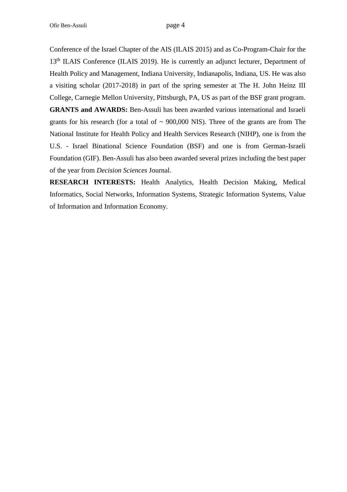Conference of the Israel Chapter of the AIS (ILAIS 2015) and as Co-Program-Chair for the 13<sup>th</sup> ILAIS Conference (ILAIS 2019). He is currently an adjunct lecturer, Department of Health Policy and Management, Indiana University, Indianapolis, Indiana, US. He was also a visiting scholar (2017-2018) in part of the spring semester at The H. John Heinz III College, Carnegie Mellon University, Pittsburgh, PA, US as part of the BSF grant program. **GRANTS and AWARDS:** Ben-Assuli has been awarded various international and Israeli grants for his research (for a total of  $\sim$  900,000 NIS). Three of the grants are from The National Institute for Health Policy and Health Services Research (NIHP), one is from the U.S. - Israel Binational Science Foundation (BSF) and one is from German-Israeli Foundation (GIF). Ben-Assuli has also been awarded several prizes including the best paper of the year from *Decision Sciences* Journal.

**RESEARCH INTERESTS:** Health Analytics, Health Decision Making, Medical Informatics, Social Networks, Information Systems, Strategic Information Systems, Value of Information and Information Economy.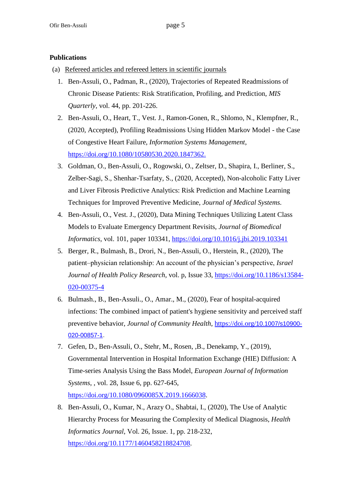## **Publications**

- (a) Refereed articles and refereed letters in scientific journals
	- 1. Ben-Assuli, O., Padman, R., (2020), Trajectories of Repeated Readmissions of Chronic Disease Patients: Risk Stratification, Profiling, and Prediction, *MIS Quarterly*, vol. 44, pp. 201-226.
	- 2. Ben-Assuli, O., Heart, T., Vest. J., Ramon-Gonen, R., Shlomo, N., Klempfner, R., (2020, Accepted), Profiling Readmissions Using Hidden Markov Model - the Case of Congestive Heart Failure, *Information Systems Management*, [https://doi.org/10.1080/10580530.2020.1847362.](https://doi.org/10.1080/10580530.2020.1847362)
	- 3. Goldman, O., Ben-Assuli, O., Rogowski, O., Zeltser, D., Shapira, I., Berliner, S., Zelber-Sagi, S., Shenhar-Tsarfaty, S., (2020, Accepted), Non-alcoholic Fatty Liver and Liver Fibrosis Predictive Analytics: Risk Prediction and Machine Learning Techniques for Improved Preventive Medicine, *Journal of Medical Systems.*
	- 4. Ben-Assuli, O., Vest. J., (2020), Data Mining Techniques Utilizing Latent Class Models to Evaluate Emergency Department Revisits, *Journal of Biomedical Informatics, vol.* 101, paper 103341, <https://doi.org/10.1016/j.jbi.2019.103341>
	- 5. Berger, R., Bulmash, B., Drori, N., Ben-Assuli, O., Herstein, R., (2020), The patient–physician relationship: An account of the physician's perspective, *Israel Journal of Health Policy Research*, vol. p, Issue 33, [https://doi.org/10.1186/s13584-](https://doi.org/10.1186/s13584-020-00375-4) [020-00375-4](https://doi.org/10.1186/s13584-020-00375-4)
	- 6. Bulmash., B., Ben-Assuli., O., Amar., M., (2020), Fear of hospital-acquired infections: The combined impact of patient's hygiene sensitivity and perceived staff preventive behavior, *Journal of Community Health*, [https://doi.org/](https://doi.org/10.1007/s10900-020-00857-1)10.1007/s10900- [020-00857-1](https://doi.org/10.1007/s10900-020-00857-1).
	- 7. Gefen, D., Ben-Assuli, O., Stehr, M., Rosen, ,B., Denekamp, Y., (2019), Governmental Intervention in Hospital Information Exchange (HIE) Diffusion: A Time-series Analysis Using the Bass Model, *European Journal of Information Systems*, , vol. 28, Issue 6, pp. 627-645, [https://doi.org/10.1080/0960085X.2019.1666038.](https://doi.org/10.1080/0960085X.2019.1666038)
	- 8. Ben-Assuli, O., Kumar, N., Arazy O., Shabtai, I., (2020), The Use of Analytic Hierarchy Process for Measuring the Complexity of Medical Diagnosis, *Health Informatics Journal*, Vol. 26, Issue. 1, pp. 218-232, [https://doi.org/10.1177/1460458218824708.](https://doi.org/10.1177/1460458218824708)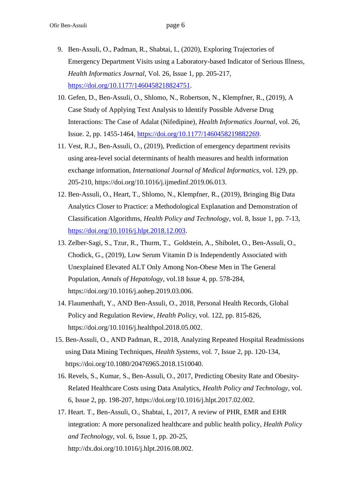- 9. Ben-Assuli, O., Padman, R., Shabtai, I., (2020), Exploring Trajectories of Emergency Department Visits using a Laboratory-based Indicator of Serious Illness, *Health Informatics Journal*, Vol. 26, Issue 1, pp. 205-217, [https://doi.org/10.1177/1460458218824751.](https://doi.org/10.1177/1460458218824751)
- 10. Gefen, D., Ben-Assuli, O., Shlomo, N., Robertson, N., Klempfner, R., (2019), A Case Study of Applying Text Analysis to Identify Possible Adverse Drug Interactions: The Case of Adalat (Nifedipine), *Health Informatics Journal*, vol. 26, Issue. 2, pp. 1455-1464, [https://doi.org/10.1177/1460458219882269.](https://doi.org/10.1177/1460458219882269)
- 11. Vest, R.J., Ben-Assuli, O., (2019), Prediction of emergency department revisits using area-level social determinants of health measures and health information exchange information, *International Journal of Medical Informatics*, vol. 129, pp. 205-210, https://doi.org/10.1016/j.ijmedinf.2019.06.013.
- 12. Ben-Assuli, O., Heart, T., Shlomo, N., Klempfner, R., (2019), Bringing Big Data Analytics Closer to Practice: a Methodological Explanation and Demonstration of Classification Algorithms, *Health Policy and Technology*, vol. 8, Issue 1, pp. 7-13, [https://doi.org/10.1016/j.hlpt.2018.12.003.](https://doi.org/10.1016/j.hlpt.2018.12.003)
- 13. Zelber-Sagi, S., Tzur, R., Thurm, T., Goldstein, A., Shibolet, O., Ben-Assuli, O., Chodick, G., (2019), Low Serum Vitamin D is Independently Associated with Unexplained Elevated ALT Only Among Non-Obese Men in The General Population, *Annals of Hepatology*, vol.18 Issue 4, pp. 578-284, https://doi.org/10.1016/j.aohep.2019.03.006.
- 14. Flaumenhaft, Y., AND Ben-Assuli, O., 2018, Personal Health Records, Global Policy and Regulation Review, *Health Policy*, vol. 122, pp. 815-826, https://doi.org/10.1016/j.healthpol.2018.05.002.
- 15. Ben-Assuli, O., AND Padman, R., 2018, Analyzing Repeated Hospital Readmissions using Data Mining Techniques, *Health Systems*, vol. 7, Issue 2, pp. 120-134, https://doi.org/10.1080/20476965.2018.1510040.
- 16. Revels, S., Kumar, S., Ben-Assuli, O., 2017, Predicting Obesity Rate and Obesity-Related Healthcare Costs using Data Analytics, *Health Policy and Technology*, vol. 6, Issue 2, pp. 198-207, https://doi.org/10.1016/j.hlpt.2017.02.002.
- 17. Heart. T., Ben-Assuli, O., Shabtai, I., 2017, A review of PHR, EMR and EHR integration: A more personalized healthcare and public health policy, *Health Policy and Technology*, vol. 6, Issue 1, pp. 20-25, http://dx.doi.org/10.1016/j.hlpt.2016.08.002.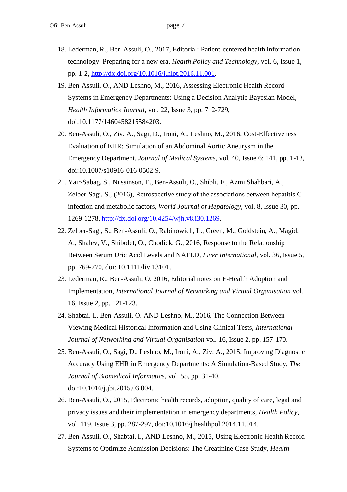- 18. Lederman, R., Ben-Assuli, O., 2017, Editorial: Patient-centered health information technology: Preparing for a new era, *Health Policy and Technology*, vol. 6, Issue 1, pp. 1-2, [http://dx.doi.org/10.1016/j.hlpt.2016.11.001.](http://dx.doi.org/10.1016/j.hlpt.2016.11.001)
- 19. Ben-Assuli, O., AND Leshno, M., 2016, Assessing Electronic Health Record Systems in Emergency Departments: Using a Decision Analytic Bayesian Model, *Health Informatics Journal*, vol. 22, Issue 3, pp. 712-729, doi:10.1177/1460458215584203.
- 20. Ben-Assuli, O., Ziv. A., Sagi, D., Ironi, A., Leshno, M., 2016, Cost-Effectiveness Evaluation of EHR: Simulation of an Abdominal Aortic Aneurysm in the Emergency Department, *Journal of Medical Systems*, vol. 40, Issue 6: 141, pp. 1-13, doi:10.1007/s10916-016-0502-9.
- 21. Yair-Sabag. S., Nussinson, E., Ben-Assuli, O., Shibli, F., Azmi Shahbari, A., Zelber-Sagi, S., (2016), Retrospective study of the associations between hepatitis C infection and metabolic factors, *World Journal of Hepatology*, vol. 8, Issue 30, pp. 1269-1278, [http://dx.doi.org/10.4254/wjh.v8.i30.1269.](http://dx.doi.org/10.4254/wjh.v8.i30.1269)
- 22. Zelber-Sagi, S., Ben-Assuli, O., Rabinowich, L., Green, M., Goldstein, A., Magid, A., Shalev, V., Shibolet, O., Chodick, G., 2016, Response to the Relationship Between Serum Uric Acid Levels and NAFLD, *Liver International*, vol. 36, Issue 5, pp. 769-770, doi: 10.1111/liv.13101.
- 23. Lederman, R., Ben-Assuli, O. 2016, Editorial notes on E-Health Adoption and Implementation, *International Journal of Networking and Virtual Organisation* vol. 16, Issue 2, pp. 121-123.
- 24. Shabtai, I., Ben-Assuli, O. AND Leshno, M., 2016, The Connection Between Viewing Medical Historical Information and Using Clinical Tests, *International Journal of Networking and Virtual Organisation* vol. 16, Issue 2, pp. 157-170.
- 25. Ben-Assuli, O., Sagi, D., Leshno, M., Ironi, A., Ziv. A., 2015, Improving Diagnostic Accuracy Using EHR in Emergency Departments: A Simulation-Based Study, *The Journal of Biomedical Informatics*, vol. 55, pp. 31-40, doi:10.1016/j.jbi.2015.03.004.
- 26. Ben-Assuli, O., 2015, Electronic health records, adoption, quality of care, legal and privacy issues and their implementation in emergency departments, *Health Policy*, vol. 119, Issue 3, pp. 287-297, doi:10.1016/j.healthpol.2014.11.014.
- 27. Ben-Assuli, O., Shabtai, I., AND Leshno, M., 2015, Using Electronic Health Record Systems to Optimize Admission Decisions: The Creatinine Case Study, *Health*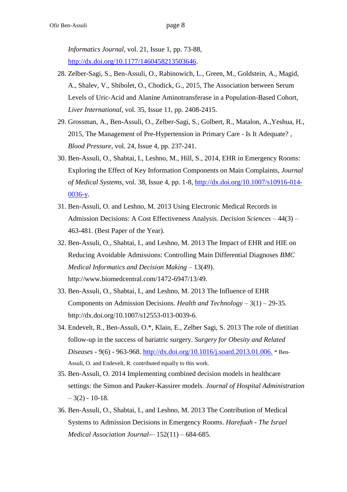*Informatics Journal*, vol. 21, Issue 1, pp. 73-88, [http://dx.doi.org/10.1177/1460458213503646.](http://dx.doi.org/10.1177/1460458213503646)

- 28. Zelber-Sagi, S., Ben-Assuli, O., Rabinowich, L., Green, M., Goldstein, A., Magid, A., Shalev, V., Shibolet, O., Chodick, G., 2015, The Association between Serum Levels of Uric-Acid and Alanine Aminotransferase in a Population-Based Cohort, *Liver International*, vol. 35, Issue 11, pp. 2408-2415.
- 29. Grossman, A., Ben-Assuli, O., Zelber-Sagi, S., Golbert, R., Matalon, A.,Yeshua, H., 2015, The Management of Pre-Hypertension in Primary Care - Is It Adequate? , *Blood Pressure*, vol. 24, Issue 4, pp. 237-241.
- 30. Ben-Assuli, O., Shabtai, I., Leshno, M., Hill, S., 2014, EHR in Emergency Rooms: Exploring the Effect of Key Information Components on Main Complaints, *Journal of Medical Systems*, vol. 38, Issue 4, pp. 1-8, [http://dx.doi.org/10.1007/s10916-014-](http://dx.doi.org/10.1007/s10916-014-0036-y) [0036-y.](http://dx.doi.org/10.1007/s10916-014-0036-y)
- 31. Ben-Assuli, O. and Leshno, M. 2013 Using Electronic Medical Records in Admission Decisions: A Cost Effectiveness Analysis. *Decision Sciences* – 44(3) – 463-481. (Best Paper of the Year).
- 32. Ben-Assuli, O., Shabtai, I., and Leshno, M. 2013 The Impact of EHR and HIE on Reducing Avoidable Admissions: Controlling Main Differential Diagnoses *BMC Medical Informatics and Decision Making* – 13(49). http://www.biomedcentral.com/1472-6947/13/49.
- 33. Ben-Assuli, O., Shabtai, I., and Leshno, M. 2013 The Influence of EHR Components on Admission Decisions. *Health and Technology* – 3(1) – 29-35. http://dx.doi.org/10.1007/s12553-013-0039-6.
- 34. Endevelt, R., Ben-Assuli, O.\*, Klain, E., Zelber Sagi, S. 2013 The role of dietitian follow-up in the success of bariatric surgery. *Surgery for Obesity and Related Diseases* - 9(6) - 963-968. [http://dx.doi.org/10.1016/j.soard.2013.01.006.](http://dx.doi.org/10.1016/j.soard.2013.01.006) \* Ben-Assuli, O. and Endevelt, R. contributed equally to this work.
- 35. Ben-Assuli, O. 2014 Implementing combined decision models in healthcare settings: the Simon and Pauker-Kassirer models. *Journal of Hospital Administration*  $-3(2) - 10-18.$
- 36. Ben-Assuli, O., Shabtai, I., and Leshno, M. 2013 The Contribution of Medical Systems to Admission Decisions in Emergency Rooms. *Harefuah* - *The Israel Medical Association Journal-*– 152(11) – 684-685.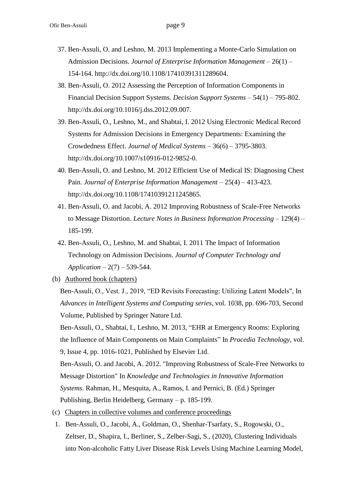- 37. Ben-Assuli, O. and Leshno, M. 2013 Implementing a Monte-Carlo Simulation on Admission Decisions. *Journal of Enterprise Information Management* – 26(1) – 154-164. http://dx.doi.org/10.1108/17410391311289604.
- 38. Ben-Assuli, O. 2012 Assessing the Perception of Information Components in Financial Decision Support Systems. *Decision Support Systems* – 54(1) – 795-802. http://dx.doi.org/10.1016/j.dss.2012.09.007.
- 39. Ben-Assuli, O., Leshno, M., and Shabtai, I. 2012 Using Electronic Medical Record Systems for Admission Decisions in Emergency Departments: Examining the Crowdedness Effect. *Journal of Medical Systems* – 36(6) – 3795-3803. http://dx.doi.org/10.1007/s10916-012-9852-0.
- 40. Ben-Assuli, O. and Leshno, M. 2012 Efficient Use of Medical IS: Diagnosing Chest Pain. *Journal of Enterprise Information Management* – 25(4) – 413-423. http://dx.doi.org/10.1108/17410391211245865.
- 41. Ben-Assuli, O. and Jacobi, A. 2012 Improving Robustness of Scale-Free Networks to Message Distortion. *Lecture Notes in Business Information Processing* – 129(4) – 185-199.
- 42. Ben-Assuli, O., Leshno, M. and Shabtai, I. 2011 The Impact of Information Technology on Admission Decisions. *Journal of Computer Technology and Application* – 2(7) – 539-544.
- (b) Authored book (chapters)

Ben-Assuli, O., Vest. J., 2019, "ED Revisits Forecasting: Utilizing Latent Models", In *Advances in Intelligent Systems and Computing series*, vol. 1038, pp. 696-703, Second Volume, Published by Springer Nature Ltd.

Ben-Assuli, O., Shabtai, I., Leshno, M. 2013, "EHR at Emergency Rooms: Exploring the Influence of Main Components on Main Complaints" In *Procedia Technology*, vol. 9, Issue 4, pp. 1016-1021, Published by Elsevier Ltd.

Ben-Assuli, O. and Jacobi, A. 2012. "Improving Robustness of Scale-Free Networks to Message Distortion" In *Knowledge and Technologies in Innovative Information Systems*. Rahman, H., Mesquita, A., Ramos, I. and Pernici, B. (Ed.) Springer Publishing, Berlin Heidelberg, Germany – p. 185-199.

- (c) Chapters in collective volumes and conference proceedings
- 1. Ben-Assuli, O., Jacobi, A., Goldman, O., Shenhar-Tsarfaty, S., Rogowski, O., Zeltser, D., Shapira, I., Berliner, S., Zelber-Sagi, S., (2020), Clustering Individuals into Non-alcoholic Fatty Liver Disease Risk Levels Using Machine Learning Model,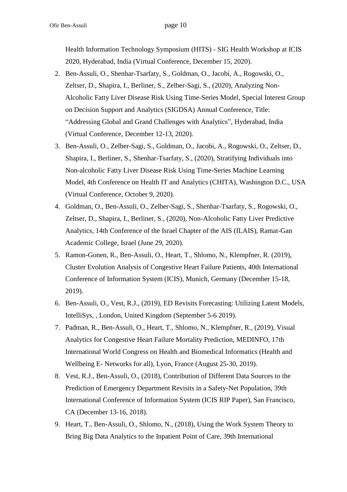Health Information Technology Symposium (HITS) - SIG Health Workshop at ICIS 2020, Hyderabad, India (Virtual Conference, December 15, 2020).

- 2. Ben-Assuli, O., Shenhar-Tsarfaty, S., Goldman, O., Jacobi, A., Rogowski, O., Zeltser, D., Shapira, I., Berliner, S., Zelber-Sagi, S., (2020), Analyzing Non-Alcoholic Fatty Liver Disease Risk Using Time-Series Model, Special Interest Group on Decision Support and Analytics (SIGDSA) Annual Conference, Title: "Addressing Global and Grand Challenges with Analytics", Hyderabad, India (Virtual Conference, December 12-13, 2020).
- 3. Ben-Assuli, O., Zelber-Sagi, S., Goldman, O., Jacobi, A., Rogowski, O., Zeltser, D., Shapira, I., Berliner, S., Shenhar-Tsarfaty, S., (2020), Stratifying Individuals into Non-alcoholic Fatty Liver Disease Risk Using Time-Series Machine Learning Model, 4th Conference on Health IT and Analytics (CHITA), Washington D.C., USA (Virtual Conference, October 9, 2020).
- 4. Goldman, O., Ben-Assuli, O., Zelber-Sagi, S., Shenhar-Tsarfaty, S., Rogowski, O., Zeltser, D., Shapira, I., Berliner, S., (2020), Non-Alcoholic Fatty Liver Predictive Analytics, 14th Conference of the Israel Chapter of the AIS (ILAIS), Ramat-Gan Academic College, Israel (June 29, 2020).
- 5. Ramon-Gonen, R., Ben-Assuli, O., Heart, T., Shlomo, N., Klempfner, R. (2019), Cluster Evolution Analysis of Congestive Heart Failure Patients, 40th International Conference of Information System (ICIS), Munich, Germany (December 15-18, 2019).
- 6. Ben-Assuli, O., Vest, R.J., (2019), ED Revisits Forecasting: Utilizing Latent Models, IntelliSys, , London, United Kingdom (September 5-6 2019).
- 7. Padman, R., Ben-Assuli, O., Heart, T., Shlomo, N., Klempfner, R., (2019), Visual Analytics for Congestive Heart Failure Mortality Prediction, MEDINFO, 17th International World Congress on Health and Biomedical Informatics (Health and Wellbeing E- Networks for all), Lyon, France (August 25-30, 2019).
- 8. Vest, R.J., Ben-Assuli, O., (2018), Contribution of Different Data Sources to the Prediction of Emergency Department Revisits in a Safety-Net Population, 39th International Conference of Information System (ICIS RIP Paper), San Francisco, CA (December 13-16, 2018).
- 9. Heart, T., Ben-Assuli, O., Shlomo, N., (2018), Using the Work System Theory to Bring Big Data Analytics to the Inpatient Point of Care, 39th International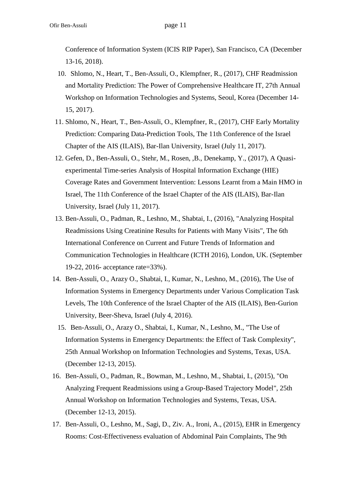Conference of Information System (ICIS RIP Paper), San Francisco, CA (December 13-16, 2018).

- 10. Shlomo, N., Heart, T., Ben-Assuli, O., Klempfner, R., (2017), CHF Readmission and Mortality Prediction: The Power of Comprehensive Healthcare IT, 27th Annual Workshop on Information Technologies and Systems, Seoul, Korea (December 14- 15, 2017).
- 11. Shlomo, N., Heart, T., Ben-Assuli, O., Klempfner, R., (2017), CHF Early Mortality Prediction: Comparing Data-Prediction Tools, The 11th Conference of the Israel Chapter of the AIS (ILAIS), Bar-Ilan University, Israel (July 11, 2017).
- 12. Gefen, D., Ben-Assuli, O., Stehr, M., Rosen, ,B., Denekamp, Y., (2017), A Quasiexperimental Time-series Analysis of Hospital Information Exchange (HIE) Coverage Rates and Government Intervention: Lessons Learnt from a Main HMO in Israel, The 11th Conference of the Israel Chapter of the AIS (ILAIS), Bar-Ilan University, Israel (July 11, 2017).
- 13. Ben-Assuli, O., Padman, R., Leshno, M., Shabtai, I., (2016), "Analyzing Hospital Readmissions Using Creatinine Results for Patients with Many Visits", The 6th International Conference on Current and Future Trends of Information and Communication Technologies in Healthcare (ICTH 2016), London, UK. (September 19-22, 2016- acceptance rate=33%).
- 14. Ben-Assuli, O., Arazy O., Shabtai, I., Kumar, N., Leshno, M., (2016), The Use of Information Systems in Emergency Departments under Various Complication Task Levels, The 10th Conference of the Israel Chapter of the AIS (ILAIS), Ben-Gurion University, Beer-Sheva, Israel (July 4, 2016).
	- 15. Ben-Assuli, O., Arazy O., Shabtai, I., Kumar, N., Leshno, M., "The Use of Information Systems in Emergency Departments: the Effect of Task Complexity", 25th Annual Workshop on Information Technologies and Systems, Texas, USA. (December 12-13, 2015).
- 16. Ben-Assuli, O., Padman, R., Bowman, M., Leshno, M., Shabtai, I., (2015), "On Analyzing Frequent Readmissions using a Group-Based Trajectory Model", 25th Annual Workshop on Information Technologies and Systems, Texas, USA. (December 12-13, 2015).
- 17. Ben-Assuli, O., Leshno, M., Sagi, D., Ziv. A., Ironi, A., (2015), EHR in Emergency Rooms: Cost-Effectiveness evaluation of Abdominal Pain Complaints, The 9th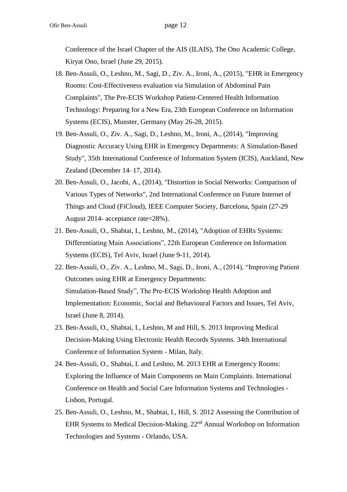Conference of the Israel Chapter of the AIS (ILAIS), The Ono Academic College, Kiryat Ono, Israel (June 29, 2015).

- 18. Ben-Assuli, O., Leshno, M., Sagi, D., Ziv. A., Ironi, A., (2015), "EHR in Emergency Rooms: Cost-Effectiveness evaluation via Simulation of Abdominal Pain Complaints", The Pre-ECIS Workshop Patient-Centered Health Information Technology: Preparing for a New Era, 23th European Conference on Information Systems (ECIS), Munster, Germany (May 26-28, 2015).
- 19. Ben-Assuli, O., Ziv. A., Sagi, D., Leshno, M., Ironi, A., (2014), "Improving Diagnostic Accuracy Using EHR in Emergency Departments: A Simulation-Based Study", 35th International Conference of Information System (ICIS), Auckland, New Zealand (December 14–17, 2014).
- 20. Ben-Assuli, O., Jacobi, A., (2014), "Distortion in Social Networks: Comparison of Various Types of Networks", 2nd International Conference on Future Internet of Things and Cloud (FiCloud), IEEE Computer Society, Barcelona, Spain (27-29 August 2014- acceptance rate=28%).
- 21. Ben-Assuli, O., Shabtai, I., Leshno, M., (2014), "Adoption of EHRs Systems: Differentiating Main Associations", 22th European Conference on Information Systems (ECIS), Tel Aviv, Israel (June 9-11, 2014).
- 22. Ben-Assuli, O., Ziv. A., Leshno, M., Sagi, D., Ironi, A., (2014), "Improving Patient Outcomes using EHR at Emergency Departments: Simulation-Based Study", The Pre-ECIS Workshop Health Adoption and Implementation: Economic, Social and Behavioural Factors and Issues, Tel Aviv, Israel (June 8, 2014).
- 23. Ben-Assuli, O., Shabtai, I., Leshno, M and Hill, S. 2013 Improving Medical Decision-Making Using Electronic Health Records Systems. 34th International Conference of Information System - Milan, Italy.
- 24. Ben-Assuli, O., Shabtai, I. and Leshno, M. 2013 EHR at Emergency Rooms: Exploring the Influence of Main Components on Main Complaints. International Conference on Health and Social Care Information Systems and Technologies - Lisbon, Portugal.
- 25. Ben-Assuli, O., Leshno, M., Shabtai, I., Hill, S. 2012 Assessing the Contribution of EHR Systems to Medical Decision-Making. 22nd Annual Workshop on Information Technologies and Systems - Orlando, USA.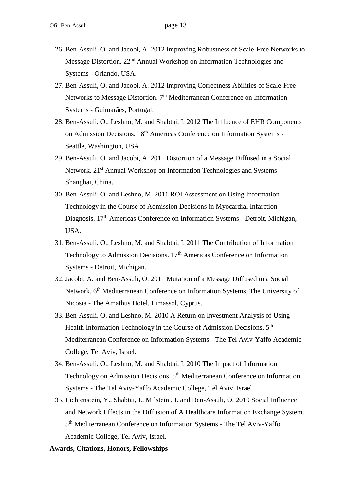- 26. Ben-Assuli, O. and Jacobi, A. 2012 Improving Robustness of Scale-Free Networks to Message Distortion. 22nd Annual Workshop on Information Technologies and Systems - Orlando, USA.
- 27. Ben-Assuli, O. and Jacobi, A. 2012 Improving Correctness Abilities of Scale-Free Networks to Message Distortion.  $7<sup>th</sup>$  Mediterranean Conference on Information Systems - Guimarães, Portugal.
- 28. Ben-Assuli, O., Leshno, M. and Shabtai, I. 2012 The Influence of EHR Components on Admission Decisions. 18th Americas Conference on Information Systems - Seattle, Washington, USA.
- 29. Ben-Assuli, O. and Jacobi, A. 2011 Distortion of a Message Diffused in a Social Network. 21<sup>st</sup> Annual Workshop on Information Technologies and Systems -Shanghai, China.
- 30. Ben-Assuli, O. and Leshno, M. 2011 ROI Assessment on Using Information Technology in the Course of Admission Decisions in Myocardial Infarction Diagnosis. 17<sup>th</sup> Americas Conference on Information Systems - Detroit, Michigan, USA.
- 31. Ben-Assuli, O., Leshno, M. and Shabtai, I. 2011 The Contribution of Information Technology to Admission Decisions. 17<sup>th</sup> Americas Conference on Information Systems - Detroit, Michigan.
- 32. Jacobi, A. and Ben-Assuli, O. 2011 Mutation of a Message Diffused in a Social Network. 6<sup>th</sup> Mediterranean Conference on Information Systems, The University of Nicosia - The Amathus Hotel, Limassol, Cyprus.
- 33. Ben-Assuli, O. and Leshno, M. 2010 A Return on Investment Analysis of Using Health Information Technology in the Course of Admission Decisions.  $5<sup>th</sup>$ Mediterranean Conference on Information Systems - The Tel Aviv-Yaffo Academic College, Tel Aviv, Israel.
- 34. Ben-Assuli, O., Leshno, M. and Shabtai, I. 2010 The Impact of Information Technology on Admission Decisions. 5<sup>th</sup> Mediterranean Conference on Information Systems - The Tel Aviv-Yaffo Academic College, Tel Aviv, Israel.
- 35. Lichtenstein, Y., Shabtai, I., Milstein , I. and Ben-Assuli, O. 2010 Social Influence and Network Effects in the Diffusion of A Healthcare Information Exchange System. 5<sup>th</sup> Mediterranean Conference on Information Systems - The Tel Aviv-Yaffo Academic College, Tel Aviv, Israel.

#### **Awards, Citations, Honors, Fellowships**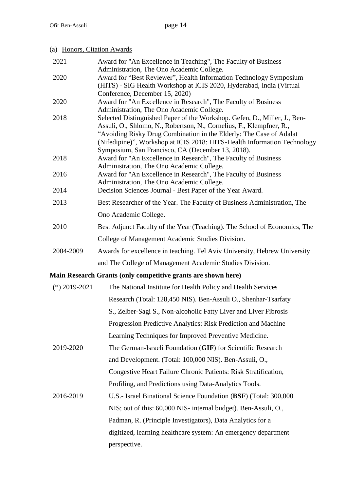# (a) Honors, Citation Awards

| 2021            | Award for "An Excellence in Teaching", The Faculty of Business                                                                                    |
|-----------------|---------------------------------------------------------------------------------------------------------------------------------------------------|
| 2020            | Administration, The Ono Academic College.<br>Award for "Best Reviewer", Health Information Technology Symposium                                   |
|                 | (HITS) - SIG Health Workshop at ICIS 2020, Hyderabad, India (Virtual                                                                              |
|                 | Conference, December 15, 2020)                                                                                                                    |
| 2020            | Award for "An Excellence in Research", The Faculty of Business                                                                                    |
|                 | Administration, The Ono Academic College.                                                                                                         |
| 2018            | Selected Distinguished Paper of the Workshop. Gefen, D., Miller, J., Ben-<br>Assuli, O., Shlomo, N., Robertson, N., Cornelius, F., Klempfner, R., |
|                 | "Avoiding Risky Drug Combination in the Elderly: The Case of Adalat                                                                               |
|                 | (Nifedipine)", Workshop at ICIS 2018: HITS-Health Information Technology                                                                          |
|                 | Symposium, San Francisco, CA (December 13, 2018).                                                                                                 |
| 2018            | Award for "An Excellence in Research", The Faculty of Business                                                                                    |
| 2016            | Administration, The Ono Academic College.<br>Award for "An Excellence in Research", The Faculty of Business                                       |
|                 | Administration, The Ono Academic College.                                                                                                         |
| 2014            | Decision Sciences Journal - Best Paper of the Year Award.                                                                                         |
| 2013            | Best Researcher of the Year. The Faculty of Business Administration, The                                                                          |
|                 | Ono Academic College.                                                                                                                             |
| 2010            | Best Adjunct Faculty of the Year (Teaching). The School of Economics, The                                                                         |
|                 | College of Management Academic Studies Division.                                                                                                  |
| 2004-2009       | Awards for excellence in teaching. Tel Aviv University, Hebrew University                                                                         |
|                 | and The College of Management Academic Studies Division.                                                                                          |
|                 | Main Research Grants (only competitive grants are shown here)                                                                                     |
| $(*)$ 2019-2021 | The National Institute for Health Policy and Health Services                                                                                      |
|                 | Research (Total: 128,450 NIS). Ben-Assuli O., Shenhar-Tsarfaty                                                                                    |
|                 | S., Zelber-Sagi S., Non-alcoholic Fatty Liver and Liver Fibrosis                                                                                  |
|                 | Progression Predictive Analytics: Risk Prediction and Machine                                                                                     |
|                 | Learning Techniques for Improved Preventive Medicine.                                                                                             |
| 2019-2020       | The German-Israeli Foundation (GIF) for Scientific Research                                                                                       |
|                 | and Development. (Total: 100,000 NIS). Ben-Assuli, O.,                                                                                            |
|                 | Congestive Heart Failure Chronic Patients: Risk Stratification,                                                                                   |
|                 | Profiling, and Predictions using Data-Analytics Tools.                                                                                            |
| 2016-2019       | U.S.- Israel Binational Science Foundation (BSF) (Total: 300,000                                                                                  |
|                 | NIS; out of this: 60,000 NIS- internal budget). Ben-Assuli, O.,                                                                                   |
|                 | Padman, R. (Principle Investigators), Data Analytics for a                                                                                        |
|                 | digitized, learning healthcare system: An emergency department                                                                                    |
|                 | perspective.                                                                                                                                      |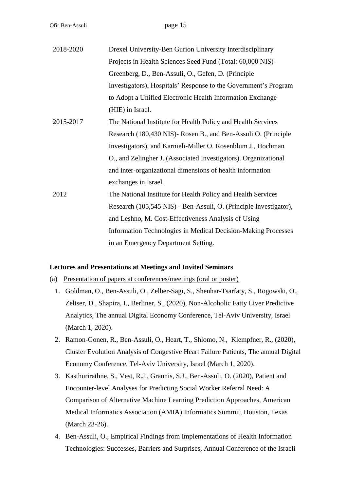Ofir Ben-Assuli page 15

| 2018-2020 | Drexel University-Ben Gurion University Interdisciplinary         |
|-----------|-------------------------------------------------------------------|
|           | Projects in Health Sciences Seed Fund (Total: 60,000 NIS) -       |
|           | Greenberg, D., Ben-Assuli, O., Gefen, D. (Principle               |
|           | Investigators), Hospitals' Response to the Government's Program   |
|           | to Adopt a Unified Electronic Health Information Exchange         |
|           | (HIE) in Israel.                                                  |
| 2015-2017 | The National Institute for Health Policy and Health Services      |
|           | Research (180,430 NIS) - Rosen B., and Ben-Assuli O. (Principle   |
|           | Investigators), and Karnieli-Miller O. Rosenblum J., Hochman      |
|           | O., and Zelingher J. (Associated Investigators). Organizational   |
|           | and inter-organizational dimensions of health information         |
|           | exchanges in Israel.                                              |
| 2012      | The National Institute for Health Policy and Health Services      |
|           | Research (105,545 NIS) - Ben-Assuli, O. (Principle Investigator), |
|           | and Leshno, M. Cost-Effectiveness Analysis of Using               |
|           | Information Technologies in Medical Decision-Making Processes     |
|           | in an Emergency Department Setting.                               |

#### **Lectures and Presentations at Meetings and Invited Seminars**

- (a) Presentation of papers at conferences/meetings (oral or poster)
	- 1. Goldman, O., Ben-Assuli, O., Zelber-Sagi, S., Shenhar-Tsarfaty, S., Rogowski, O., Zeltser, D., Shapira, I., Berliner, S., (2020), Non-Alcoholic Fatty Liver Predictive Analytics, The annual Digital Economy Conference, Tel-Aviv University, Israel (March 1, 2020).
	- 2. Ramon-Gonen, R., Ben-Assuli, O., Heart, T., Shlomo, N., Klempfner, R., (2020), Cluster Evolution Analysis of Congestive Heart Failure Patients, The annual Digital Economy Conference, Tel-Aviv University, Israel (March 1, 2020).
	- 3. Kasthurirathne, S., Vest, R.J., Grannis, S.J., Ben-Assuli, O. (2020), Patient and Encounter-level Analyses for Predicting Social Worker Referral Need: A Comparison of Alternative Machine Learning Prediction Approaches, American Medical Informatics Association (AMIA) Informatics Summit, Houston, Texas (March 23-26).
	- 4. Ben-Assuli, O., Empirical Findings from Implementations of Health Information Technologies: Successes, Barriers and Surprises, Annual Conference of the Israeli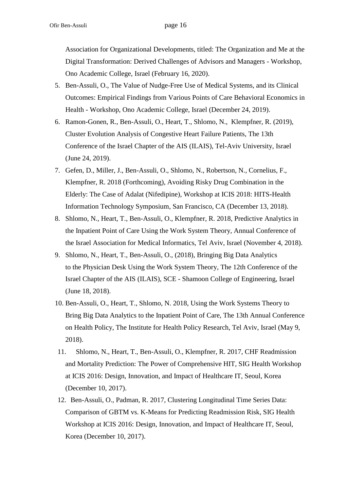Association for Organizational Developments, titled: The Organization and Me at the Digital Transformation: Derived Challenges of Advisors and Managers - Workshop, Ono Academic College, Israel (February 16, 2020).

- 5. Ben-Assuli, O., The Value of Nudge-Free Use of Medical Systems, and its Clinical Outcomes: Empirical Findings from Various Points of Care Behavioral Economics in Health - Workshop, Ono Academic College, Israel (December 24, 2019).
- 6. Ramon-Gonen, R., Ben-Assuli, O., Heart, T., Shlomo, N., Klempfner, R. (2019), Cluster Evolution Analysis of Congestive Heart Failure Patients, The 13th Conference of the Israel Chapter of the AIS (ILAIS), Tel-Aviv University, Israel (June 24, 2019).
- 7. Gefen, D., Miller, J., Ben-Assuli, O., Shlomo, N., Robertson, N., Cornelius, F., Klempfner, R. 2018 (Forthcoming), Avoiding Risky Drug Combination in the Elderly: The Case of Adalat (Nifedipine), Workshop at ICIS 2018: HITS-Health Information Technology Symposium, San Francisco, CA (December 13, 2018).
- 8. Shlomo, N., Heart, T., Ben-Assuli, O., Klempfner, R. 2018, Predictive Analytics in the Inpatient Point of Care Using the Work System Theory, Annual Conference of the Israel Association for Medical Informatics, Tel Aviv, Israel (November 4, 2018).
- 9. Shlomo, N., Heart, T., Ben-Assuli, O., (2018), Bringing Big Data Analytics to the Physician Desk Using the Work System Theory, The 12th Conference of the Israel Chapter of the AIS (ILAIS), SCE - Shamoon College of Engineering, Israel (June 18, 2018).
- 10. Ben-Assuli, O., Heart, T., Shlomo, N. 2018, Using the Work Systems Theory to Bring Big Data Analytics to the Inpatient Point of Care, The 13th Annual Conference on Health Policy, The Institute for Health Policy Research, Tel Aviv, Israel (May 9, 2018).
- 11. Shlomo, N., Heart, T., Ben-Assuli, O., Klempfner, R. 2017, CHF Readmission and Mortality Prediction: The Power of Comprehensive HIT, SIG Health Workshop at ICIS 2016: Design, Innovation, and Impact of Healthcare IT, Seoul, Korea (December 10, 2017).
- 12. Ben-Assuli, O., Padman, R. 2017, Clustering Longitudinal Time Series Data: Comparison of GBTM vs. K-Means for Predicting Readmission Risk, SIG Health Workshop at ICIS 2016: Design, Innovation, and Impact of Healthcare IT, Seoul, Korea (December 10, 2017).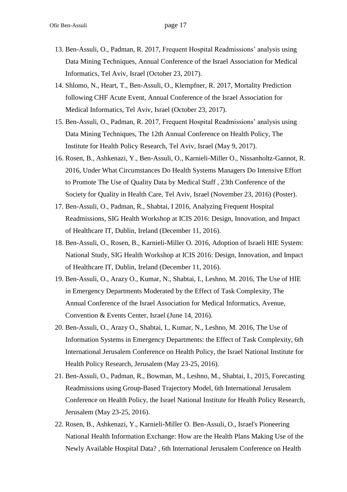- 13. Ben-Assuli, O., Padman, R. 2017, Frequent Hospital Readmissions' analysis using Data Mining Techniques, Annual Conference of the Israel Association for Medical Informatics, Tel Aviv, Israel (October 23, 2017).
- 14. Shlomo, N., Heart, T., Ben-Assuli, O., Klempfner, R. 2017, Mortality Prediction following CHF Acute Event, Annual Conference of the Israel Association for Medical Informatics, Tel Aviv, Israel (October 23, 2017).
- 15. Ben-Assuli, O., Padman, R. 2017, Frequent Hospital Readmissions' analysis using Data Mining Techniques, The 12th Annual Conference on Health Policy, The Institute for Health Policy Research, Tel Aviv, Israel (May 9, 2017).
- 16. Rosen, B., Ashkenazi, Y., Ben-Assuli, O., Karnieli-Miller O., Nissanholtz-Gannot, R. 2016, Under What Circumstances Do Health Systems Managers Do Intensive Effort to Promote The Use of Quality Data by Medical Staff , 23th Conference of the Society for Quality in Health Care, Tel Aviv, Israel (November 23, 2016) (Poster).
- 17. Ben-Assuli, O., Padman, R., Shabtai, I 2016, Analyzing Frequent Hospital Readmissions, SIG Health Workshop at ICIS 2016: Design, Innovation, and Impact of Healthcare IT, Dublin, Ireland (December 11, 2016).
- 18. Ben-Assuli, O., Rosen, B., Karnieli-Miller O. 2016, Adoption of Israeli HIE System: National Study, SIG Health Workshop at ICIS 2016: Design, Innovation, and Impact of Healthcare IT, Dublin, Ireland (December 11, 2016).
- 19. Ben-Assuli, O., Arazy O., Kumar, N., Shabtai, I., Leshno, M. 2016, The Use of HIE in Emergency Departments Moderated by the Effect of Task Complexity, The Annual Conference of the Israel Association for Medical Informatics, Avenue, Convention & Events Center, Israel (June 14, 2016).
- 20. Ben-Assuli, O., Arazy O., Shabtai, I., Kumar, N., Leshno, M. 2016, The Use of Information Systems in Emergency Departments: the Effect of Task Complexity, 6th International Jerusalem Conference on Health Policy, the Israel National Institute for Health Policy Research, Jerusalem (May 23-25, 2016).
- 21. Ben-Assuli, O., Padman, R., Bowman, M., Leshno, M., Shabtai, I., 2015, Forecasting Readmissions using Group-Based Trajectory Model, 6th International Jerusalem Conference on Health Policy, the Israel National Institute for Health Policy Research, Jerusalem (May 23-25, 2016).
- 22. Rosen, B., Ashkenazi, Y., Karnieli-Miller O. Ben-Assuli, O., Israel's Pioneering National Health Information Exchange: How are the Health Plans Making Use of the Newly Available Hospital Data? , 6th International Jerusalem Conference on Health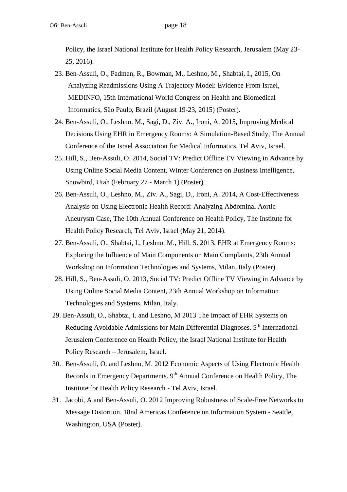Policy, the Israel National Institute for Health Policy Research, Jerusalem (May 23- 25, 2016).

- 23. Ben-Assuli, O., Padman, R., Bowman, M., Leshno, M., Shabtai, I., 2015, On Analyzing Readmissions Using A Trajectory Model: Evidence From Israel, MEDINFO, 15th International World Congress on Health and Biomedical Informatics, São Paulo, Brazil (August 19-23, 2015) (Poster).
- 24. Ben-Assuli, O., Leshno, M., Sagi, D., Ziv. A., Ironi, A. 2015, Improving Medical Decisions Using EHR in Emergency Rooms: A Simulation-Based Study, The Annual Conference of the Israel Association for Medical Informatics, Tel Aviv, Israel.
- 25. Hill, S., Ben-Assuli, O. 2014, Social TV: Predict Offline TV Viewing in Advance by Using Online Social Media Content, Winter Conference on Business Intelligence, Snowbird, Utah (February 27 - March 1) (Poster).
- 26. Ben-Assuli, O., Leshno, M., Ziv. A., Sagi, D., Ironi, A. 2014, A Cost-Effectiveness Analysis on Using Electronic Health Record: Analyzing Abdominal Aortic Aneurysm Case, The 10th Annual Conference on Health Policy, The Institute for Health Policy Research, Tel Aviv, Israel (May 21, 2014).
- 27. Ben-Assuli, O., Shabtai, I., Leshno, M., Hill, S. 2013, EHR at Emergency Rooms: Exploring the Influence of Main Components on Main Complaints, 23th Annual Workshop on Information Technologies and Systems, Milan, Italy (Poster).
- 28. Hill, S., Ben-Assuli, O. 2013, Social TV: Predict Offline TV Viewing in Advance by Using Online Social Media Content, 23th Annual Workshop on Information Technologies and Systems, Milan, Italy.
- 29. Ben-Assuli, O., Shabtai, I. and Leshno, M 2013 The Impact of EHR Systems on Reducing Avoidable Admissions for Main Differential Diagnoses. 5<sup>th</sup> International Jerusalem Conference on Health Policy, the Israel National Institute for Health Policy Research – Jerusalem, Israel.
- 30. Ben-Assuli, O. and Leshno, M. 2012 Economic Aspects of Using Electronic Health Records in Emergency Departments. 9<sup>th</sup> Annual Conference on Health Policy, The Institute for Health Policy Research - Tel Aviv, Israel.
- 31. Jacobi, A and Ben-Assuli, O. 2012 Improving Robustness of Scale-Free Networks to Message Distortion. 18nd Americas Conference on Information System - Seattle, Washington, USA (Poster).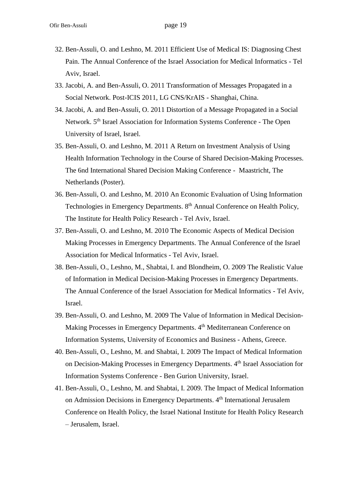- 32. Ben-Assuli, O. and Leshno, M. 2011 Efficient Use of Medical IS: Diagnosing Chest Pain. The Annual Conference of the Israel Association for Medical Informatics - Tel Aviv, Israel.
- 33. Jacobi, A. and Ben-Assuli, O. 2011 Transformation of Messages Propagated in a Social Network. Post-ICIS 2011, LG CNS/KrAIS - Shanghai, China.
- 34. Jacobi, A. and Ben-Assuli, O. 2011 Distortion of a Message Propagated in a Social Network. 5<sup>th</sup> Israel Association for Information Systems Conference - The Open University of Israel, Israel.
- 35. Ben-Assuli, O. and Leshno, M. 2011 A Return on Investment Analysis of Using Health Information Technology in the Course of Shared Decision-Making Processes. The 6nd International Shared Decision Making Conference - Maastricht, The Netherlands (Poster).
- 36. Ben-Assuli, O. and Leshno, M. 2010 An Economic Evaluation of Using Information Technologies in Emergency Departments. 8<sup>th</sup> Annual Conference on Health Policy, The Institute for Health Policy Research - Tel Aviv, Israel.
- 37. Ben-Assuli, O. and Leshno, M. 2010 The Economic Aspects of Medical Decision Making Processes in Emergency Departments. The Annual Conference of the Israel Association for Medical Informatics - Tel Aviv, Israel.
- 38. Ben-Assuli, O., Leshno, M., Shabtai, I. and Blondheim, O. 2009 The Realistic Value of Information in Medical Decision-Making Processes in Emergency Departments. The Annual Conference of the Israel Association for Medical Informatics - Tel Aviv, Israel.
- 39. Ben-Assuli, O. and Leshno, M. 2009 The Value of Information in Medical Decision-Making Processes in Emergency Departments. 4<sup>th</sup> Mediterranean Conference on Information Systems, University of Economics and Business - Athens, Greece.
- 40. Ben-Assuli, O., Leshno, M. and Shabtai, I. 2009 The Impact of Medical Information on Decision-Making Processes in Emergency Departments. 4<sup>th</sup> Israel Association for Information Systems Conference - Ben Gurion University, Israel.
- 41. Ben-Assuli, O., Leshno, M. and Shabtai, I. 2009. The Impact of Medical Information on Admission Decisions in Emergency Departments. 4<sup>th</sup> International Jerusalem Conference on Health Policy, the Israel National Institute for Health Policy Research – Jerusalem, Israel.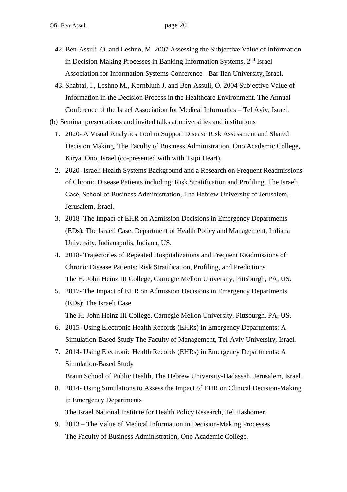- 42. Ben-Assuli, O. and Leshno, M. 2007 Assessing the Subjective Value of Information in Decision-Making Processes in Banking Information Systems. 2<sup>nd</sup> Israel Association for Information Systems Conference - Bar Ilan University, Israel.
- 43. Shabtai, I., Leshno M., Kornbluth J. and Ben-Assuli, O. 2004 Subjective Value of Information in the Decision Process in the Healthcare Environment. The Annual Conference of the Israel Association for Medical Informatics – Tel Aviv, Israel.
- (b) Seminar presentations and invited talks at universities and institutions
	- 1. 2020- A Visual Analytics Tool to Support Disease Risk Assessment and Shared Decision Making, The Faculty of Business Administration, Ono Academic College, Kiryat Ono, Israel (co-presented with with Tsipi Heart).
	- 2. 2020- Israeli Health Systems Background and a Research on Frequent Readmissions of Chronic Disease Patients including: Risk Stratification and Profiling, The Israeli Case, School of Business Administration, The Hebrew University of Jerusalem, Jerusalem, Israel.
	- 3. 2018- The Impact of EHR on Admission Decisions in Emergency Departments (EDs): The Israeli Case, Department of Health Policy and Management, Indiana University, Indianapolis, Indiana, US.
	- 4. 2018- Trajectories of Repeated Hospitalizations and Frequent Readmissions of Chronic Disease Patients: Risk Stratification, Profiling, and Predictions The H. John Heinz III College, Carnegie Mellon University, Pittsburgh, PA, US.
	- 5. 2017- The Impact of EHR on Admission Decisions in Emergency Departments (EDs): The Israeli Case The H. John Heinz III College, Carnegie Mellon University, Pittsburgh, PA, US.
	- 6. 2015- Using Electronic Health Records (EHRs) in Emergency Departments: A Simulation-Based Study The Faculty of Management, Tel-Aviv University, Israel.
	- 7. 2014- Using Electronic Health Records (EHRs) in Emergency Departments: A Simulation-Based Study Braun School of Public Health, The Hebrew University-Hadassah, Jerusalem, Israel.
	- 8. 2014- Using Simulations to Assess the Impact of EHR on Clinical Decision-Making in Emergency Departments The Israel National Institute for Health Policy Research, Tel Hashomer.
	- 9. 2013 The Value of Medical Information in Decision-Making Processes The Faculty of Business Administration, Ono Academic College.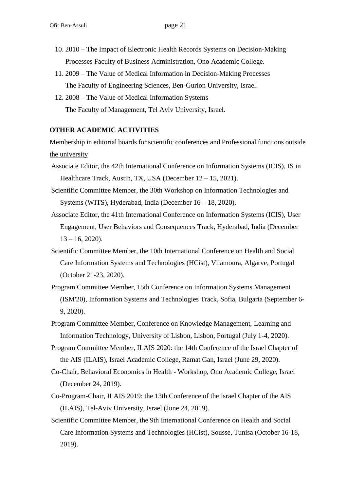- 10. 2010 The Impact of Electronic Health Records Systems on Decision-Making Processes Faculty of Business Administration, Ono Academic College.
- 11. 2009 The Value of Medical Information in Decision-Making Processes The Faculty of Engineering Sciences, Ben-Gurion University, Israel.
- 12. 2008 The Value of Medical Information Systems The Faculty of Management, Tel Aviv University, Israel.

#### **OTHER ACADEMIC ACTIVITIES**

Membership in editorial boards for scientific conferences and Professional functions outside the university

- Associate Editor, the 42th International Conference on Information Systems (ICIS), IS in Healthcare Track, Austin, TX, USA (December 12 – 15, 2021).
- Scientific Committee Member, the 30th Workshop on Information Technologies and Systems (WITS), Hyderabad, India (December 16 – 18, 2020).
- Associate Editor, the 41th International Conference on Information Systems (ICIS), User Engagement, User Behaviors and Consequences Track, Hyderabad, India (December  $13 - 16$ , 2020).
- Scientific Committee Member, the 10th International Conference on Health and Social Care Information Systems and Technologies (HCist), Vilamoura, Algarve, Portugal (October 21-23, 2020).
- Program Committee Member, 15th Conference on Information Systems Management (ISM'20), Information Systems and Technologies Track, Sofia, Bulgaria (September 6- 9, 2020).
- Program Committee Member, Conference on Knowledge Management, Learning and Information Technology, University of Lisbon, Lisbon, Portugal (July 1-4, 2020).
- Program Committee Member, ILAIS 2020: the 14th Conference of the Israel Chapter of the AIS (ILAIS), Israel Academic College, Ramat Gan, Israel (June 29, 2020).
- Co-Chair, Behavioral Economics in Health Workshop, Ono Academic College, Israel (December 24, 2019).
- Co-Program-Chair, ILAIS 2019: the 13th Conference of the Israel Chapter of the AIS (ILAIS), Tel-Aviv University, Israel (June 24, 2019).
- Scientific Committee Member, the 9th International Conference on Health and Social Care Information Systems and Technologies (HCist), Sousse, Tunisa (October 16-18, 2019).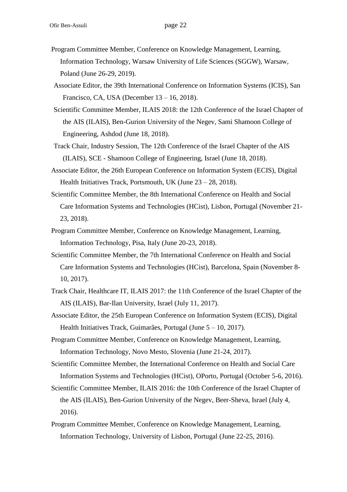- Program Committee Member, Conference on Knowledge Management, Learning, Information Technology, Warsaw University of Life Sciences (SGGW), Warsaw, Poland (June 26-29, 2019).
- Associate Editor, the 39th International Conference on Information Systems (ICIS), San Francisco, CA, USA (December 13 – 16, 2018).
- Scientific Committee Member, ILAIS 2018: the 12th Conference of the Israel Chapter of the AIS (ILAIS), Ben-Gurion University of the Negev, Sami Shamoon College of Engineering, Ashdod (June 18, 2018).
- Track Chair, Industry Session, The 12th Conference of the Israel Chapter of the AIS (ILAIS), SCE - Shamoon College of Engineering, Israel (June 18, 2018).
- Associate Editor, the 26th European Conference on Information System (ECIS), Digital Health Initiatives Track, Portsmouth, UK (June 23 – 28, 2018).
- Scientific Committee Member, the 8th International Conference on Health and Social Care Information Systems and Technologies (HCist), Lisbon, Portugal (November 21- 23, 2018).
- Program Committee Member, Conference on Knowledge Management, Learning, Information Technology, Pisa, Italy (June 20-23, 2018).
- Scientific Committee Member, the 7th International Conference on Health and Social Care Information Systems and Technologies (HCist), Barcelona, Spain (November 8- 10, 2017).
- Track Chair, Healthcare IT, ILAIS 2017: the 11th Conference of the Israel Chapter of the AIS (ILAIS), Bar-Ilan University, Israel (July 11, 2017).
- Associate Editor, the 25th European Conference on Information System (ECIS), Digital Health Initiatives Track, Guimarães, Portugal (June 5 – 10, 2017).
- Program Committee Member, Conference on Knowledge Management, Learning, Information Technology, Novo Mesto, Slovenia (June 21-24, 2017).
- Scientific Committee Member, the International Conference on Health and Social Care Information Systems and Technologies (HCist), OPorto, Portugal (October 5-6, 2016).
- Scientific Committee Member, ILAIS 2016: the 10th Conference of the Israel Chapter of the AIS (ILAIS), Ben-Gurion University of the Negev, Beer-Sheva, Israel (July 4, 2016).
- Program Committee Member, Conference on Knowledge Management, Learning, Information Technology, University of Lisbon, Portugal (June 22-25, 2016).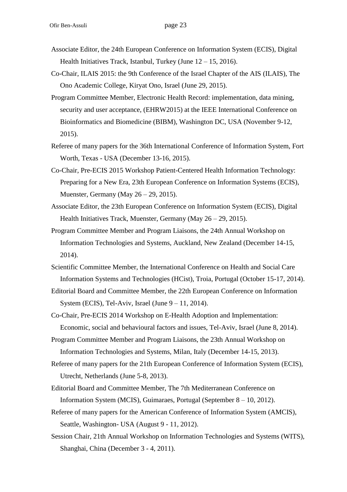- Associate Editor, the 24th European Conference on Information System (ECIS), Digital Health Initiatives Track, Istanbul, Turkey (June  $12 - 15$ , 2016).
- Co-Chair, ILAIS 2015: the 9th Conference of the Israel Chapter of the AIS (ILAIS), The Ono Academic College, Kiryat Ono, Israel (June 29, 2015).
- Program Committee Member, Electronic Health Record: implementation, data mining, security and user acceptance, (EHRW2015) at the IEEE International Conference on Bioinformatics and Biomedicine (BIBM), Washington DC, USA (November 9-12, 2015).
- Referee of many papers for the 36th International Conference of Information System, Fort Worth, Texas - USA (December 13-16, 2015).
- Co-Chair, Pre-ECIS 2015 Workshop Patient-Centered Health Information Technology: Preparing for a New Era, 23th European Conference on Information Systems (ECIS), Muenster, Germany (May 26 – 29, 2015).
- Associate Editor, the 23th European Conference on Information System (ECIS), Digital Health Initiatives Track, Muenster, Germany (May 26 – 29, 2015).
- Program Committee Member and Program Liaisons, the 24th Annual Workshop on Information Technologies and Systems, Auckland, New Zealand (December 14-15, 2014).
- Scientific Committee Member, the International Conference on Health and Social Care Information Systems and Technologies (HCist), Troia, Portugal (October 15-17, 2014).
- Editorial Board and Committee Member, the 22th European Conference on Information System (ECIS), Tel-Aviv, Israel (June  $9 - 11$ , 2014).
- Co-Chair, Pre-ECIS 2014 Workshop on E-Health Adoption and Implementation: Economic, social and behavioural factors and issues, Tel-Aviv, Israel (June 8, 2014).
- Program Committee Member and Program Liaisons, the 23th Annual Workshop on Information Technologies and Systems, Milan, Italy (December 14-15, 2013).
- Referee of many papers for the 21th European Conference of Information System (ECIS), Utrecht, Netherlands (June 5-8, 2013).
- Editorial Board and Committee Member, The 7th Mediterranean Conference on Information System (MCIS), Guimaraes, Portugal (September 8 – 10, 2012).
- Referee of many papers for the American Conference of Information System (AMCIS), Seattle, Washington- USA (August 9 - 11, 2012).
- Session Chair, 21th Annual Workshop on Information Technologies and Systems (WITS), Shanghai, China (December 3 - 4, 2011).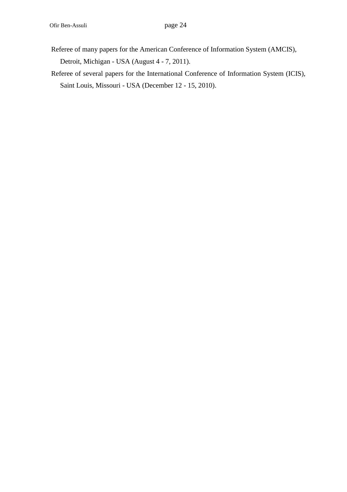- Referee of many papers for the American Conference of Information System (AMCIS), Detroit, Michigan - USA (August 4 - 7, 2011).
- Referee of several papers for the International Conference of Information System (ICIS), Saint Louis, Missouri - USA (December 12 - 15, 2010).